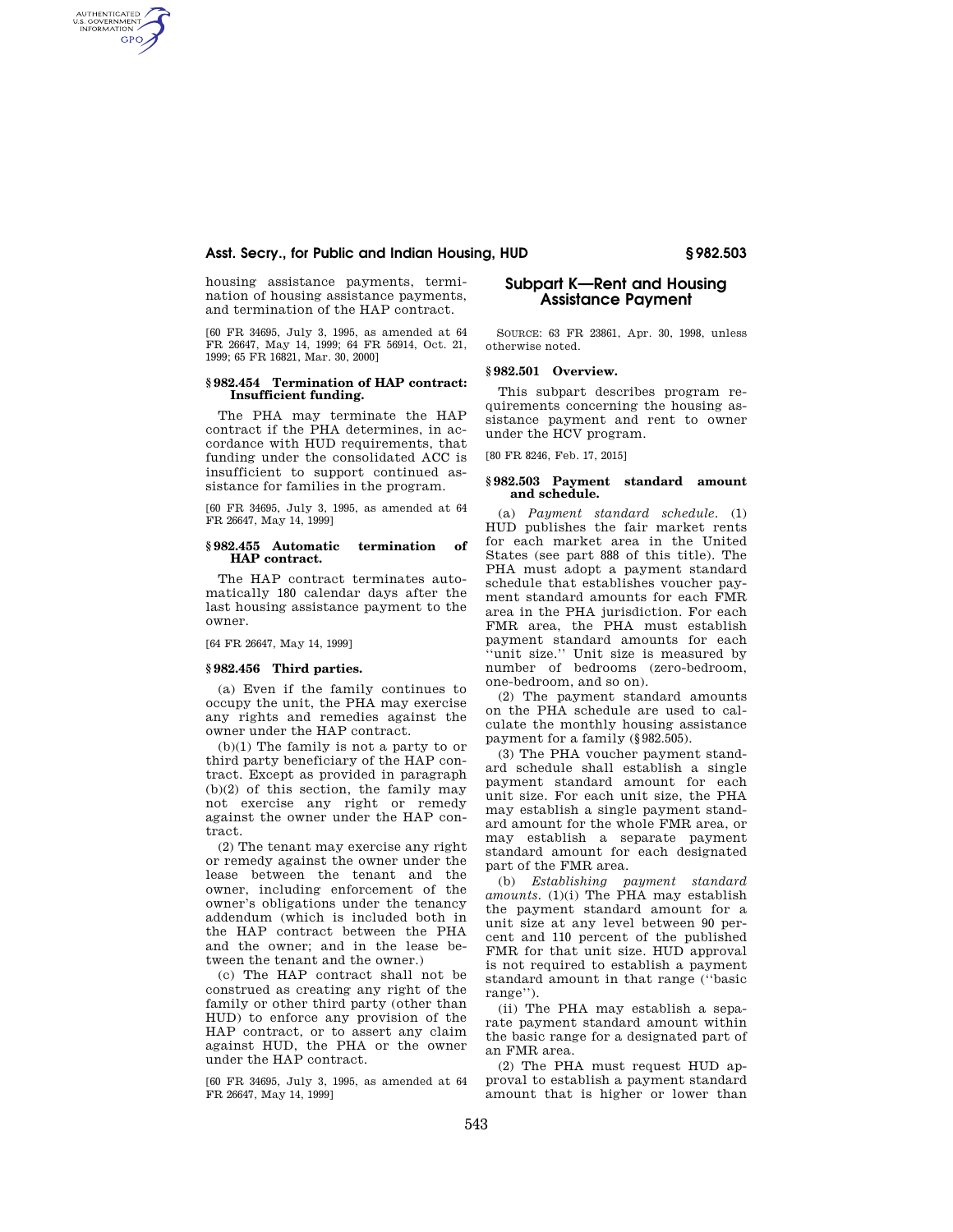# **Asst. Secry., for Public and Indian Housing, HUD § 982.503**

housing assistance payments, termination of housing assistance payments, and termination of the HAP contract.

AUTHENTICATED<br>U.S. GOVERNMENT<br>INFORMATION **GPO** 

> [60 FR 34695, July 3, 1995, as amended at 64 FR 26647, May 14, 1999; 64 FR 56914, Oct. 21, 1999; 65 FR 16821, Mar. 30, 2000]

# **§ 982.454 Termination of HAP contract: Insufficient funding.**

The PHA may terminate the HAP contract if the PHA determines, in accordance with HUD requirements, that funding under the consolidated ACC is insufficient to support continued assistance for families in the program.

[60 FR 34695, July 3, 1995, as amended at 64 FR 26647, May 14, 1999]

## **§ 982.455 Automatic termination of HAP contract.**

The HAP contract terminates automatically 180 calendar days after the last housing assistance payment to the owner.

[64 FR 26647, May 14, 1999]

## **§ 982.456 Third parties.**

(a) Even if the family continues to occupy the unit, the PHA may exercise any rights and remedies against the owner under the HAP contract.

(b)(1) The family is not a party to or third party beneficiary of the HAP contract. Except as provided in paragraph (b)(2) of this section, the family may not exercise any right or remedy against the owner under the HAP contract.

(2) The tenant may exercise any right or remedy against the owner under the lease between the tenant and the owner, including enforcement of the owner's obligations under the tenancy addendum (which is included both in the HAP contract between the PHA and the owner; and in the lease between the tenant and the owner.)

(c) The HAP contract shall not be construed as creating any right of the family or other third party (other than HUD) to enforce any provision of the HAP contract, or to assert any claim against HUD, the PHA or the owner under the HAP contract.

[60 FR 34695, July 3, 1995, as amended at 64 FR 26647, May 14, 1999]

# **Subpart K—Rent and Housing Assistance Payment**

SOURCE: 63 FR 23861, Apr. 30, 1998, unless otherwise noted.

## **§ 982.501 Overview.**

This subpart describes program requirements concerning the housing assistance payment and rent to owner under the HCV program.

[80 FR 8246, Feb. 17, 2015]

### **§ 982.503 Payment standard amount and schedule.**

(a) *Payment standard schedule.* (1) HUD publishes the fair market rents for each market area in the United States (see part 888 of this title). The PHA must adopt a payment standard schedule that establishes voucher payment standard amounts for each FMR area in the PHA jurisdiction. For each FMR area, the PHA must establish payment standard amounts for each ''unit size.'' Unit size is measured by number of bedrooms (zero-bedroom, one-bedroom, and so on).

(2) The payment standard amounts on the PHA schedule are used to calculate the monthly housing assistance payment for a family (§982.505).

(3) The PHA voucher payment standard schedule shall establish a single payment standard amount for each unit size. For each unit size, the PHA may establish a single payment standard amount for the whole FMR area, or may establish a separate payment standard amount for each designated part of the FMR area.

(b) *Establishing payment standard amounts.* (1)(i) The PHA may establish the payment standard amount for a unit size at any level between 90 percent and 110 percent of the published FMR for that unit size. HUD approval is not required to establish a payment standard amount in that range (''basic range'').

(ii) The PHA may establish a separate payment standard amount within the basic range for a designated part of an FMR area.

(2) The PHA must request HUD approval to establish a payment standard amount that is higher or lower than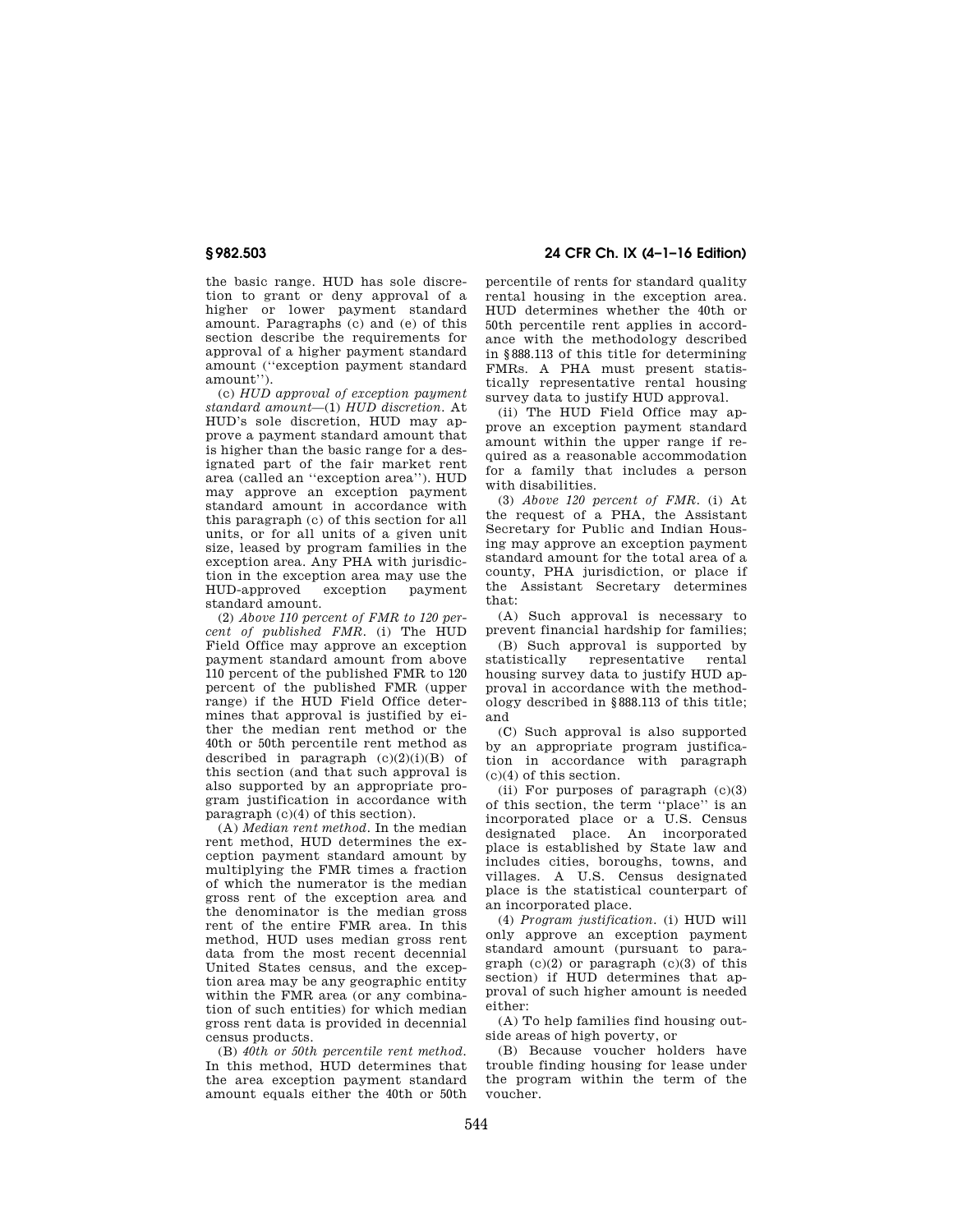the basic range. HUD has sole discretion to grant or deny approval of a higher or lower payment standard amount. Paragraphs (c) and (e) of this section describe the requirements for approval of a higher payment standard amount (''exception payment standard amount'').

(c) *HUD approval of exception payment standard amount*—(1) *HUD discretion.* At HUD's sole discretion, HUD may approve a payment standard amount that is higher than the basic range for a designated part of the fair market rent area (called an ''exception area''). HUD may approve an exception payment standard amount in accordance with this paragraph (c) of this section for all units, or for all units of a given unit size, leased by program families in the exception area. Any PHA with jurisdiction in the exception area may use the HUD-approved exception payment standard amount.

(2) *Above 110 percent of FMR to 120 percent of published FMR.* (i) The HUD Field Office may approve an exception payment standard amount from above 110 percent of the published FMR to 120 percent of the published FMR (upper range) if the HUD Field Office determines that approval is justified by either the median rent method or the 40th or 50th percentile rent method as described in paragraph  $(c)(2)(i)(B)$  of this section (and that such approval is also supported by an appropriate program justification in accordance with paragraph (c)(4) of this section).

(A) *Median rent method.* In the median rent method, HUD determines the exception payment standard amount by multiplying the FMR times a fraction of which the numerator is the median gross rent of the exception area and the denominator is the median gross rent of the entire FMR area. In this method, HUD uses median gross rent data from the most recent decennial United States census, and the exception area may be any geographic entity within the FMR area (or any combination of such entities) for which median gross rent data is provided in decennial census products.

(B) *40th or 50th percentile rent method.*  In this method, HUD determines that the area exception payment standard amount equals either the 40th or 50th

**§ 982.503 24 CFR Ch. IX (4–1–16 Edition)** 

percentile of rents for standard quality rental housing in the exception area. HUD determines whether the 40th or 50th percentile rent applies in accordance with the methodology described in §888.113 of this title for determining FMRs. A PHA must present statistically representative rental housing survey data to justify HUD approval.

(ii) The HUD Field Office may approve an exception payment standard amount within the upper range if required as a reasonable accommodation for a family that includes a person with disabilities.

(3) *Above 120 percent of FMR.* (i) At the request of a PHA, the Assistant Secretary for Public and Indian Housing may approve an exception payment standard amount for the total area of a county, PHA jurisdiction, or place if the Assistant Secretary determines that:

(A) Such approval is necessary to prevent financial hardship for families;

(B) Such approval is supported by statistically representative rental housing survey data to justify HUD approval in accordance with the methodology described in §888.113 of this title; and

(C) Such approval is also supported by an appropriate program justification in accordance with paragraph (c)(4) of this section.

(ii) For purposes of paragraph  $(c)(3)$ of this section, the term ''place'' is an incorporated place or a U.S. Census designated place. An incorporated place is established by State law and includes cities, boroughs, towns, and villages. A U.S. Census designated place is the statistical counterpart of an incorporated place.

(4) *Program justification.* (i) HUD will only approve an exception payment standard amount (pursuant to paragraph  $(c)(2)$  or paragraph  $(c)(3)$  of this section) if HUD determines that approval of such higher amount is needed either:

(A) To help families find housing outside areas of high poverty, or

(B) Because voucher holders have trouble finding housing for lease under the program within the term of the voucher.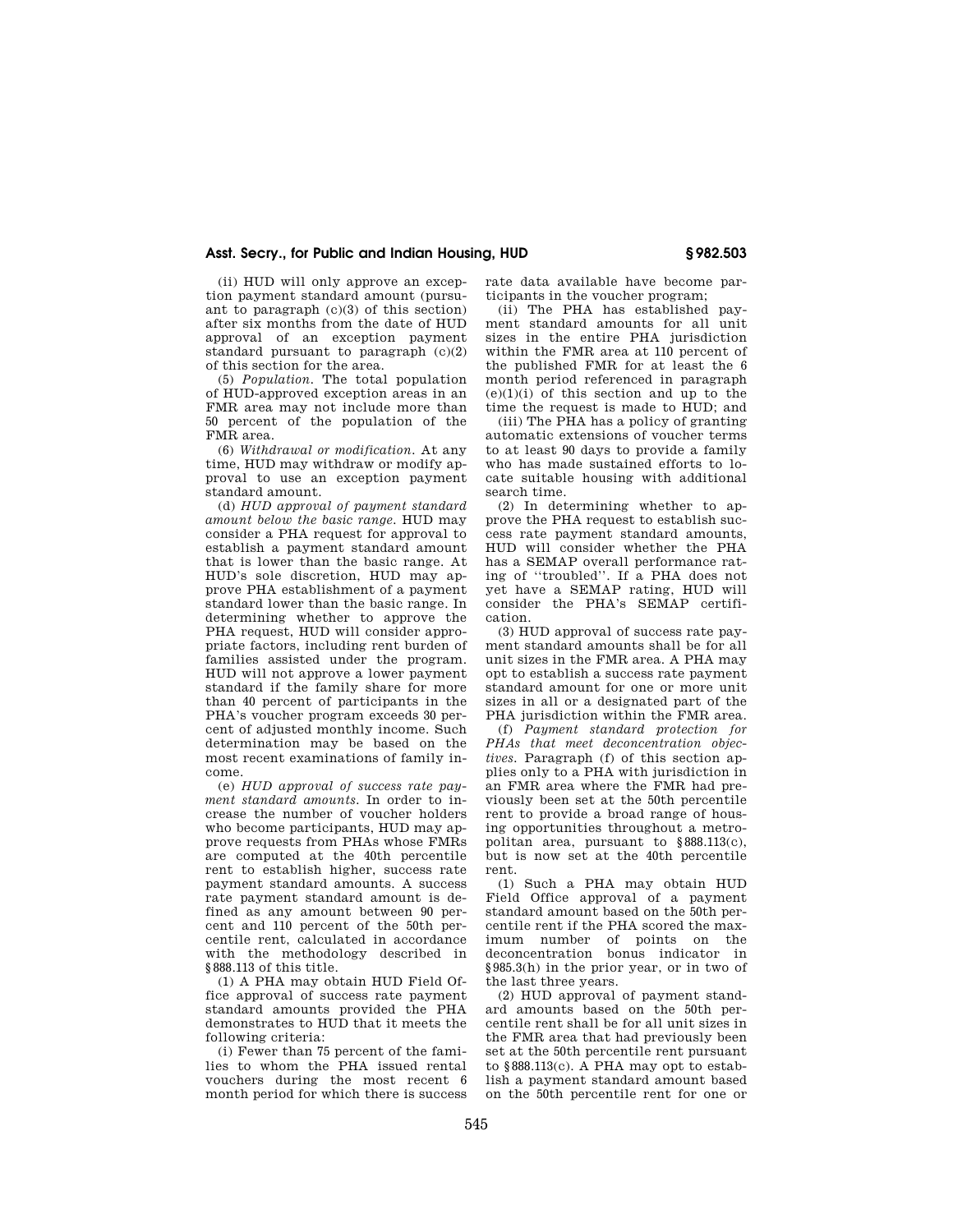# **Asst. Secry., for Public and Indian Housing, HUD § 982.503**

(ii) HUD will only approve an exception payment standard amount (pursuant to paragraph (c)(3) of this section) after six months from the date of HUD approval of an exception payment standard pursuant to paragraph (c)(2) of this section for the area.

(5) *Population.* The total population of HUD-approved exception areas in an FMR area may not include more than 50 percent of the population of the FMR area.

(6) *Withdrawal or modification.* At any time, HUD may withdraw or modify approval to use an exception payment standard amount.

(d) *HUD approval of payment standard amount below the basic range.* HUD may consider a PHA request for approval to establish a payment standard amount that is lower than the basic range. At HUD's sole discretion, HUD may approve PHA establishment of a payment standard lower than the basic range. In determining whether to approve the PHA request, HUD will consider appropriate factors, including rent burden of families assisted under the program. HUD will not approve a lower payment standard if the family share for more than 40 percent of participants in the PHA's voucher program exceeds 30 percent of adjusted monthly income. Such determination may be based on the most recent examinations of family income.

(e) *HUD approval of success rate payment standard amounts.* In order to increase the number of voucher holders who become participants, HUD may approve requests from PHAs whose FMRs are computed at the 40th percentile rent to establish higher, success rate payment standard amounts. A success rate payment standard amount is defined as any amount between 90 percent and 110 percent of the 50th percentile rent, calculated in accordance with the methodology described in §888.113 of this title.

(1) A PHA may obtain HUD Field Office approval of success rate payment standard amounts provided the PHA demonstrates to HUD that it meets the following criteria:

(i) Fewer than 75 percent of the families to whom the PHA issued rental vouchers during the most recent 6 month period for which there is success rate data available have become participants in the voucher program;

(ii) The PHA has established payment standard amounts for all unit sizes in the entire PHA jurisdiction within the FMR area at 110 percent of the published FMR for at least the 6 month period referenced in paragraph  $(e)(1)(i)$  of this section and up to the time the request is made to HUD; and

(iii) The PHA has a policy of granting automatic extensions of voucher terms to at least 90 days to provide a family who has made sustained efforts to locate suitable housing with additional search time.

(2) In determining whether to approve the PHA request to establish success rate payment standard amounts, HUD will consider whether the PHA has a SEMAP overall performance rating of ''troubled''. If a PHA does not yet have a SEMAP rating, HUD will consider the PHA's SEMAP certification.

(3) HUD approval of success rate payment standard amounts shall be for all unit sizes in the FMR area. A PHA may opt to establish a success rate payment standard amount for one or more unit sizes in all or a designated part of the PHA jurisdiction within the FMR area.

(f) *Payment standard protection for PHAs that meet deconcentration objectives.* Paragraph (f) of this section applies only to a PHA with jurisdiction in an FMR area where the FMR had previously been set at the 50th percentile rent to provide a broad range of housing opportunities throughout a metropolitan area, pursuant to §888.113(c), but is now set at the 40th percentile rent.

(1) Such a PHA may obtain HUD Field Office approval of a payment standard amount based on the 50th percentile rent if the PHA scored the maximum number of points on the deconcentration bonus indicator in §985.3(h) in the prior year, or in two of the last three years.

(2) HUD approval of payment standard amounts based on the 50th percentile rent shall be for all unit sizes in the FMR area that had previously been set at the 50th percentile rent pursuant to §888.113(c). A PHA may opt to establish a payment standard amount based on the 50th percentile rent for one or